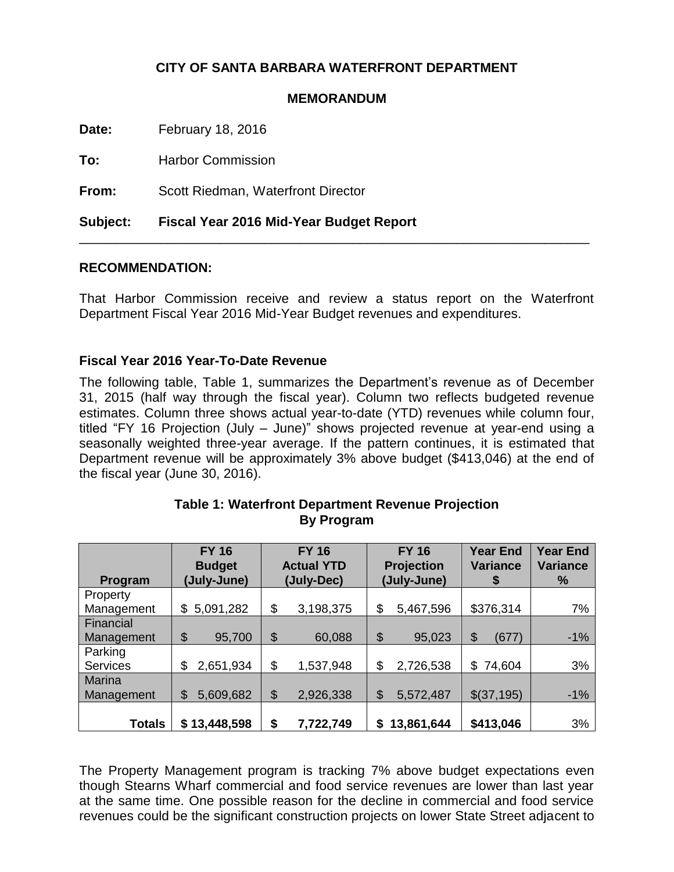### **CITY OF SANTA BARBARA WATERFRONT DEPARTMENT**

#### **MEMORANDUM**

**Date:** February 18, 2016

**To:** Harbor Commission

**From:** Scott Riedman, Waterfront Director

**Subject: Fiscal Year 2016 Mid-Year Budget Report**

#### **RECOMMENDATION:**

That Harbor Commission receive and review a status report on the Waterfront Department Fiscal Year 2016 Mid-Year Budget revenues and expenditures.

\_\_\_\_\_\_\_\_\_\_\_\_\_\_\_\_\_\_\_\_\_\_\_\_\_\_\_\_\_\_\_\_\_\_\_\_\_\_\_\_\_\_\_\_\_\_\_\_\_\_\_\_\_\_\_\_\_\_\_\_\_\_\_\_\_\_\_\_\_

#### **Fiscal Year 2016 Year-To-Date Revenue**

The following table, Table 1, summarizes the Department's revenue as of December 31, 2015 (half way through the fiscal year). Column two reflects budgeted revenue estimates. Column three shows actual year-to-date (YTD) revenues while column four, titled "FY 16 Projection (July – June)" shows projected revenue at year-end using a seasonally weighted three-year average. If the pattern continues, it is estimated that Department revenue will be approximately 3% above budget (\$413,046) at the end of the fiscal year (June 30, 2016).

|                        | <b>FY 16</b><br><b>Budget</b> | <b>FY 16</b><br><b>Actual YTD</b> | <b>FY 16</b><br><b>Projection</b><br>(July-June) | <b>Year End</b><br><b>Variance</b> | <b>Year End</b><br><b>Variance</b><br>% |
|------------------------|-------------------------------|-----------------------------------|--------------------------------------------------|------------------------------------|-----------------------------------------|
| Program                | (July-June)                   | (July-Dec)                        |                                                  | \$                                 |                                         |
| Property<br>Management | 5,091,282<br>\$               | \$<br>3,198,375                   | \$<br>5,467,596                                  | \$376,314                          | 7%                                      |
| Financial              |                               |                                   |                                                  |                                    |                                         |
| Management             | \$<br>95,700                  | \$<br>60,088                      | \$<br>95,023                                     | \$<br>(677)                        | $-1%$                                   |
| Parking                |                               |                                   |                                                  |                                    |                                         |
| <b>Services</b>        | 2,651,934<br>\$               | \$<br>1,537,948                   | \$<br>2,726,538                                  | 74,604<br>\$                       | 3%                                      |
| <b>Marina</b>          |                               |                                   |                                                  |                                    |                                         |
| Management             | \$<br>5,609,682               | \$<br>2,926,338                   | \$<br>5,572,487                                  | \$(37,195)                         | $-1%$                                   |
|                        |                               |                                   |                                                  |                                    |                                         |
| <b>Totals</b>          | \$13,448,598                  | \$<br>7,722,749                   | 13,861,644<br>S                                  | \$413,046                          | 3%                                      |

#### **Table 1: Waterfront Department Revenue Projection By Program**

The Property Management program is tracking 7% above budget expectations even though Stearns Wharf commercial and food service revenues are lower than last year at the same time. One possible reason for the decline in commercial and food service revenues could be the significant construction projects on lower State Street adjacent to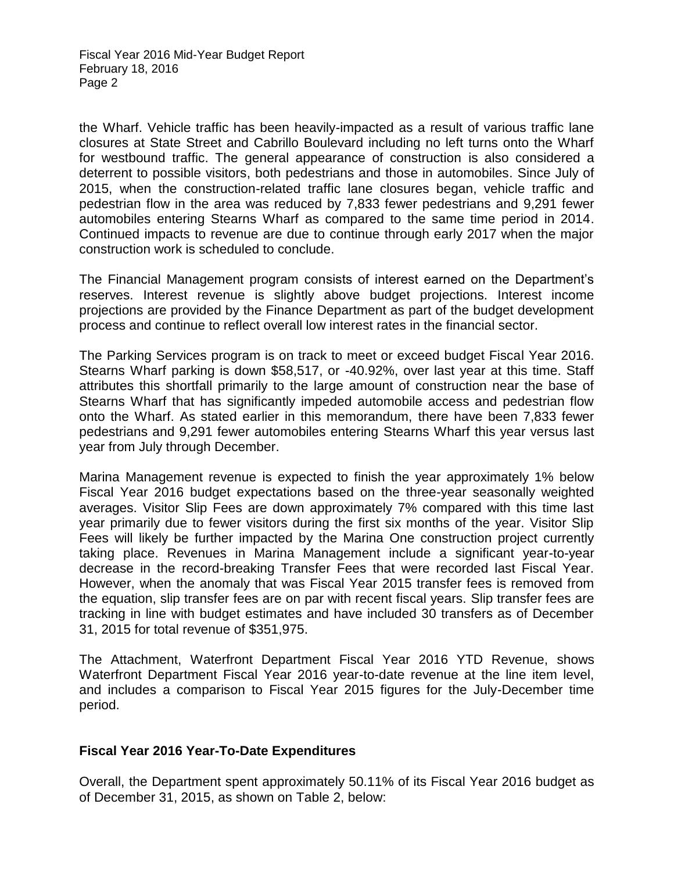Fiscal Year 2016 Mid-Year Budget Report February 18, 2016 Page 2

the Wharf. Vehicle traffic has been heavily-impacted as a result of various traffic lane closures at State Street and Cabrillo Boulevard including no left turns onto the Wharf for westbound traffic. The general appearance of construction is also considered a deterrent to possible visitors, both pedestrians and those in automobiles. Since July of 2015, when the construction-related traffic lane closures began, vehicle traffic and pedestrian flow in the area was reduced by 7,833 fewer pedestrians and 9,291 fewer automobiles entering Stearns Wharf as compared to the same time period in 2014. Continued impacts to revenue are due to continue through early 2017 when the major construction work is scheduled to conclude.

The Financial Management program consists of interest earned on the Department's reserves. Interest revenue is slightly above budget projections. Interest income projections are provided by the Finance Department as part of the budget development process and continue to reflect overall low interest rates in the financial sector.

The Parking Services program is on track to meet or exceed budget Fiscal Year 2016. Stearns Wharf parking is down \$58,517, or -40.92%, over last year at this time. Staff attributes this shortfall primarily to the large amount of construction near the base of Stearns Wharf that has significantly impeded automobile access and pedestrian flow onto the Wharf. As stated earlier in this memorandum, there have been 7,833 fewer pedestrians and 9,291 fewer automobiles entering Stearns Wharf this year versus last year from July through December.

Marina Management revenue is expected to finish the year approximately 1% below Fiscal Year 2016 budget expectations based on the three-year seasonally weighted averages. Visitor Slip Fees are down approximately 7% compared with this time last year primarily due to fewer visitors during the first six months of the year. Visitor Slip Fees will likely be further impacted by the Marina One construction project currently taking place. Revenues in Marina Management include a significant year-to-year decrease in the record-breaking Transfer Fees that were recorded last Fiscal Year. However, when the anomaly that was Fiscal Year 2015 transfer fees is removed from the equation, slip transfer fees are on par with recent fiscal years. Slip transfer fees are tracking in line with budget estimates and have included 30 transfers as of December 31, 2015 for total revenue of \$351,975.

The Attachment, Waterfront Department Fiscal Year 2016 YTD Revenue, shows Waterfront Department Fiscal Year 2016 year-to-date revenue at the line item level, and includes a comparison to Fiscal Year 2015 figures for the July-December time period.

#### **Fiscal Year 2016 Year-To-Date Expenditures**

Overall, the Department spent approximately 50.11% of its Fiscal Year 2016 budget as of December 31, 2015, as shown on Table 2, below: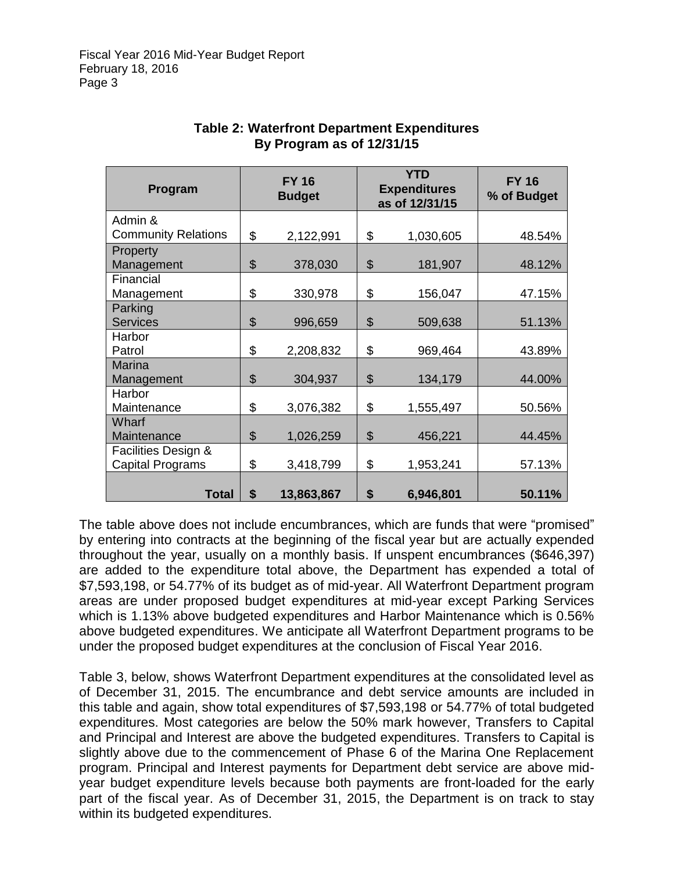| Program                    | <b>FY 16</b><br><b>Budget</b> |            | <b>YTD</b><br><b>Expenditures</b><br>as of 12/31/15 |           | <b>FY 16</b><br>% of Budget |  |
|----------------------------|-------------------------------|------------|-----------------------------------------------------|-----------|-----------------------------|--|
| Admin &                    |                               |            |                                                     |           |                             |  |
| <b>Community Relations</b> | \$                            | 2,122,991  | \$                                                  | 1,030,605 | 48.54%                      |  |
| Property                   |                               |            |                                                     |           |                             |  |
| Management                 | \$                            | 378,030    | \$                                                  | 181,907   | 48.12%                      |  |
| Financial                  |                               |            |                                                     |           |                             |  |
| Management                 | \$                            | 330,978    | \$                                                  | 156,047   | 47.15%                      |  |
| Parking                    |                               |            |                                                     |           |                             |  |
| <b>Services</b>            | \$                            | 996,659    | \$                                                  | 509,638   | 51.13%                      |  |
| Harbor                     |                               |            |                                                     |           |                             |  |
| Patrol                     | \$                            | 2,208,832  | \$                                                  | 969,464   | 43.89%                      |  |
| <b>Marina</b>              |                               |            |                                                     |           |                             |  |
| Management                 | \$                            | 304,937    | \$                                                  | 134,179   | 44.00%                      |  |
| Harbor                     |                               |            |                                                     |           |                             |  |
| Maintenance                | \$                            | 3,076,382  | \$                                                  | 1,555,497 | 50.56%                      |  |
| Wharf                      |                               |            |                                                     |           |                             |  |
| Maintenance                | \$                            | 1,026,259  | \$                                                  | 456,221   | 44.45%                      |  |
| Facilities Design &        |                               |            |                                                     |           |                             |  |
| <b>Capital Programs</b>    | \$                            | 3,418,799  | \$                                                  | 1,953,241 | 57.13%                      |  |
| <b>Total</b>               | \$                            | 13,863,867 | \$                                                  | 6,946,801 | 50.11%                      |  |

#### **Table 2: Waterfront Department Expenditures By Program as of 12/31/15**

The table above does not include encumbrances, which are funds that were "promised" by entering into contracts at the beginning of the fiscal year but are actually expended throughout the year, usually on a monthly basis. If unspent encumbrances (\$646,397) are added to the expenditure total above, the Department has expended a total of \$7,593,198, or 54.77% of its budget as of mid-year. All Waterfront Department program areas are under proposed budget expenditures at mid-year except Parking Services which is 1.13% above budgeted expenditures and Harbor Maintenance which is 0.56% above budgeted expenditures. We anticipate all Waterfront Department programs to be under the proposed budget expenditures at the conclusion of Fiscal Year 2016.

Table 3, below, shows Waterfront Department expenditures at the consolidated level as of December 31, 2015. The encumbrance and debt service amounts are included in this table and again, show total expenditures of \$7,593,198 or 54.77% of total budgeted expenditures. Most categories are below the 50% mark however, Transfers to Capital and Principal and Interest are above the budgeted expenditures. Transfers to Capital is slightly above due to the commencement of Phase 6 of the Marina One Replacement program. Principal and Interest payments for Department debt service are above midyear budget expenditure levels because both payments are front-loaded for the early part of the fiscal year. As of December 31, 2015, the Department is on track to stay within its budgeted expenditures.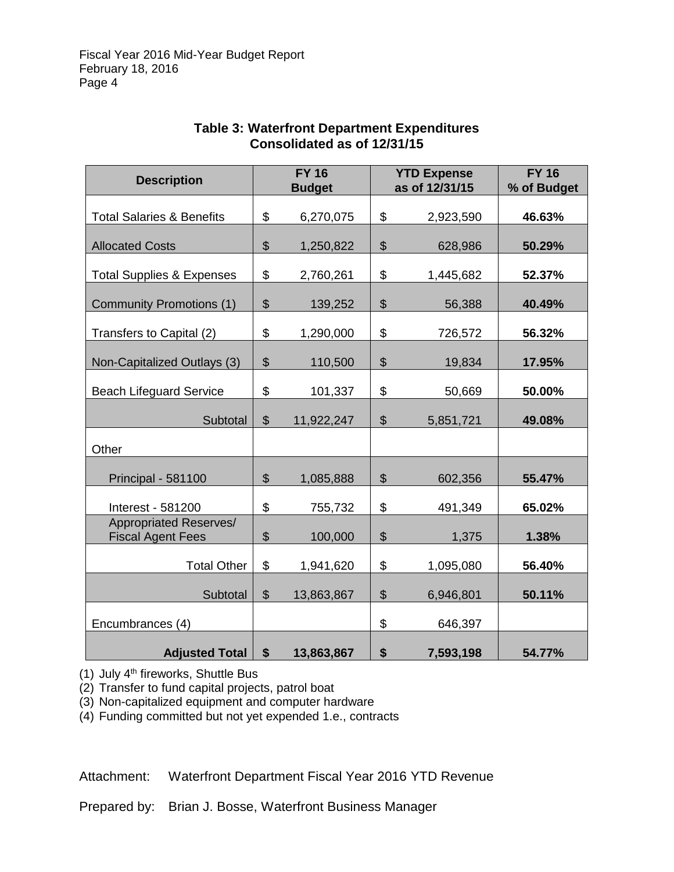| <b>Description</b>                                 |                           | <b>FY 16</b>  |                           | <b>YTD Expense</b> | <b>FY 16</b> |
|----------------------------------------------------|---------------------------|---------------|---------------------------|--------------------|--------------|
|                                                    |                           | <b>Budget</b> |                           | as of 12/31/15     | % of Budget  |
| <b>Total Salaries &amp; Benefits</b>               |                           | 6,270,075     | \$                        | 2,923,590          | 46.63%       |
| <b>Allocated Costs</b>                             |                           | 1,250,822     | \$                        | 628,986            | 50.29%       |
| <b>Total Supplies &amp; Expenses</b>               |                           | 2,760,261     | \$                        | 1,445,682          | 52.37%       |
| <b>Community Promotions (1)</b>                    |                           | 139,252       | $\boldsymbol{\mathsf{S}}$ | 56,388             | 40.49%       |
| Transfers to Capital (2)                           |                           | 1,290,000     | \$                        | 726,572            | 56.32%       |
| Non-Capitalized Outlays (3)                        | $\frac{1}{2}$             | 110,500       | \$                        | 19,834             | 17.95%       |
| <b>Beach Lifeguard Service</b>                     |                           | 101,337       | \$                        | 50,669             | 50.00%       |
| Subtotal                                           | $\mathbb{S}$              | 11,922,247    | \$                        | 5,851,721          | 49.08%       |
| Other                                              |                           |               |                           |                    |              |
| Principal - 581100                                 | $\frac{1}{2}$             | 1,085,888     | $\frac{1}{2}$             | 602,356            | 55.47%       |
| Interest - 581200                                  |                           | 755,732       | \$                        | 491,349            | 65.02%       |
| Appropriated Reserves/<br><b>Fiscal Agent Fees</b> |                           | 100,000       | \$                        | 1,375              | 1.38%        |
| <b>Total Other</b>                                 | \$                        | 1,941,620     | \$                        | 1,095,080          | 56.40%       |
| Subtotal                                           | $\boldsymbol{\mathsf{S}}$ | 13,863,867    | \$                        | 6,946,801          | 50.11%       |
| Encumbrances (4)                                   |                           |               | \$                        | 646,397            |              |
| <b>Adjusted Total</b>                              | \$                        | 13,863,867    | \$                        | 7,593,198          | 54.77%       |

### **Table 3: Waterfront Department Expenditures Consolidated as of 12/31/15**

(1) July  $4<sup>th</sup>$  fireworks, Shuttle Bus

(2) Transfer to fund capital projects, patrol boat

(3) Non-capitalized equipment and computer hardware

(4) Funding committed but not yet expended 1.e., contracts

Attachment: Waterfront Department Fiscal Year 2016 YTD Revenue

Prepared by: Brian J. Bosse, Waterfront Business Manager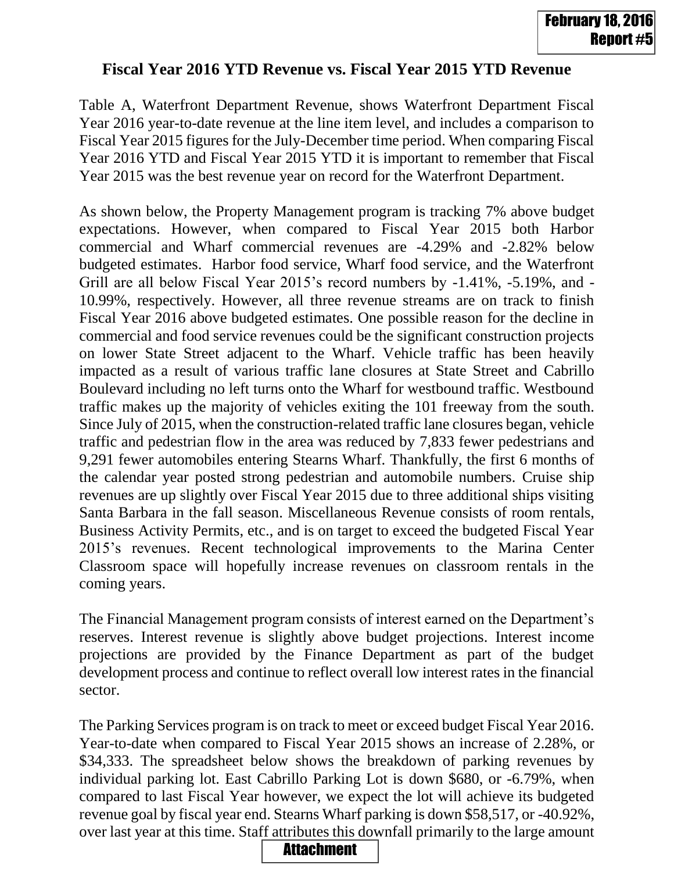# **Fiscal Year 2016 YTD Revenue vs. Fiscal Year 2015 YTD Revenue**

Table A, Waterfront Department Revenue, shows Waterfront Department Fiscal Year 2016 year-to-date revenue at the line item level, and includes a comparison to Fiscal Year 2015 figures for the July-December time period. When comparing Fiscal Year 2016 YTD and Fiscal Year 2015 YTD it is important to remember that Fiscal Year 2015 was the best revenue year on record for the Waterfront Department.

As shown below, the Property Management program is tracking 7% above budget expectations. However, when compared to Fiscal Year 2015 both Harbor commercial and Wharf commercial revenues are -4.29% and -2.82% below budgeted estimates. Harbor food service, Wharf food service, and the Waterfront Grill are all below Fiscal Year 2015's record numbers by -1.41%, -5.19%, and - 10.99%, respectively. However, all three revenue streams are on track to finish Fiscal Year 2016 above budgeted estimates. One possible reason for the decline in commercial and food service revenues could be the significant construction projects on lower State Street adjacent to the Wharf. Vehicle traffic has been heavily impacted as a result of various traffic lane closures at State Street and Cabrillo Boulevard including no left turns onto the Wharf for westbound traffic. Westbound traffic makes up the majority of vehicles exiting the 101 freeway from the south. Since July of 2015, when the construction-related traffic lane closures began, vehicle traffic and pedestrian flow in the area was reduced by 7,833 fewer pedestrians and 9,291 fewer automobiles entering Stearns Wharf. Thankfully, the first 6 months of the calendar year posted strong pedestrian and automobile numbers. Cruise ship revenues are up slightly over Fiscal Year 2015 due to three additional ships visiting Santa Barbara in the fall season. Miscellaneous Revenue consists of room rentals, Business Activity Permits, etc., and is on target to exceed the budgeted Fiscal Year 2015's revenues. Recent technological improvements to the Marina Center Classroom space will hopefully increase revenues on classroom rentals in the coming years. **Fiscal Year 2016 YTD Revenue vs. Fiscal Year 2015 YTD Revenue <b>Follows:** The Hammar Revenue, shows Waterfrom Department Fiscal Team 2016 Narrow and Revenue, shows Waterfrom Department Fiscal Year 2016 Ygar-Both amount Fi

The Financial Management program consists of interest earned on the Department's reserves. Interest revenue is slightly above budget projections. Interest income projections are provided by the Finance Department as part of the budget development process and continue to reflect overall low interest rates in the financial sector.

The Parking Services program is on track to meet or exceed budget Fiscal Year 2016. Year-to-date when compared to Fiscal Year 2015 shows an increase of 2.28%, or \$34,333. The spreadsheet below shows the breakdown of parking revenues by individual parking lot. East Cabrillo Parking Lot is down \$680, or -6.79%, when compared to last Fiscal Year however, we expect the lot will achieve its budgeted revenue goal by fiscal year end. Stearns Wharf parking is down \$58,517, or -40.92%,

## **Attachment**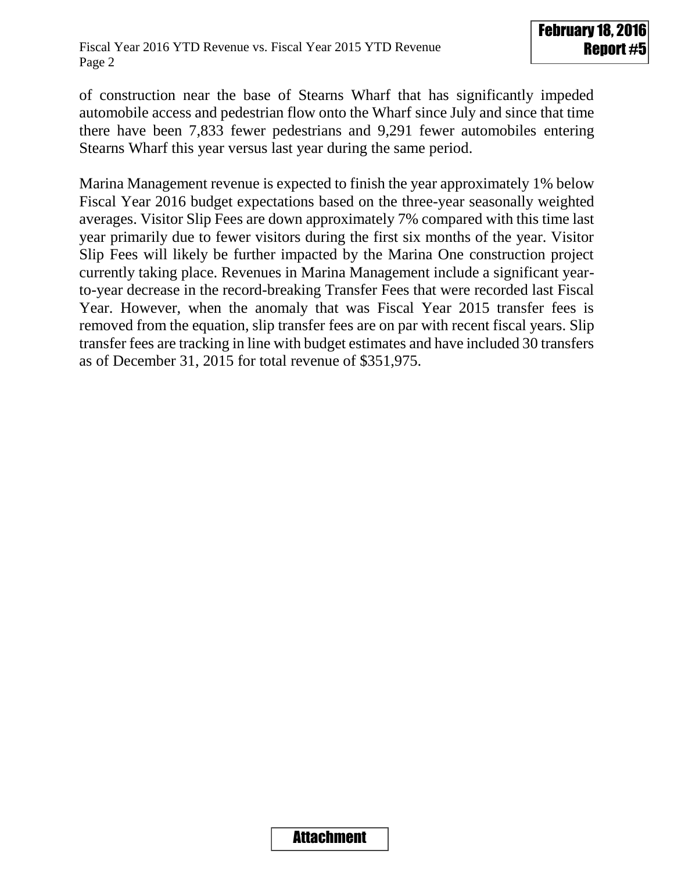of construction near the base of Stearns Wharf that has significantly impeded automobile access and pedestrian flow onto the Wharf since July and since that time there have been 7,833 fewer pedestrians and 9,291 fewer automobiles entering Stearns Wharf this year versus last year during the same period.

Marina Management revenue is expected to finish the year approximately 1% below Fiscal Year 2016 budget expectations based on the three-year seasonally weighted averages. Visitor Slip Fees are down approximately 7% compared with this time last year primarily due to fewer visitors during the first six months of the year. Visitor Slip Fees will likely be further impacted by the Marina One construction project currently taking place. Revenues in Marina Management include a significant yearto-year decrease in the record-breaking Transfer Fees that were recorded last Fiscal Year. However, when the anomaly that was Fiscal Year 2015 transfer fees is removed from the equation, slip transfer fees are on par with recent fiscal years. Slip transfer fees are tracking in line with budget estimates and have included 30 transfers as of December 31, 2015 for total revenue of \$351,975.

## Attachment